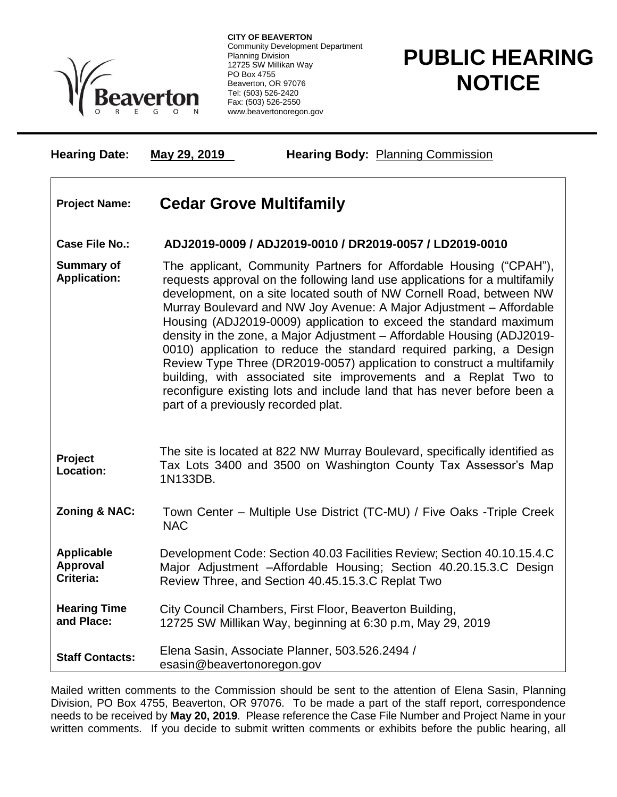

**CITY OF BEAVERTON** Community Development Department Planning Division 12725 SW Millikan Way PO Box 4755 Beaverton, OR 97076 Tel: (503) 526-2420 Fax: (503) 526-2550 www.beavertonoregon.gov

## **PUBLIC HEARING NOTICE**

**Hearing Date: May 29, 2019 Hearing Body:** Planning Commission

## **Project Name: Cedar Grove Multifamily**

## **Case File No.: ADJ2019-0009 / ADJ2019-0010 / DR2019-0057 / LD2019-0010**

- **Summary of Application:** The applicant, Community Partners for Affordable Housing ("CPAH"), requests approval on the following land use applications for a multifamily development, on a site located south of NW Cornell Road, between NW Murray Boulevard and NW Joy Avenue: A Major Adjustment – Affordable Housing (ADJ2019-0009) application to exceed the standard maximum density in the zone, a Major Adjustment – Affordable Housing (ADJ2019- 0010) application to reduce the standard required parking, a Design Review Type Three (DR2019-0057) application to construct a multifamily building, with associated site improvements and a Replat Two to reconfigure existing lots and include land that has never before been a part of a previously recorded plat.
- **Project Location:** The site is located at 822 NW Murray Boulevard, specifically identified as Tax Lots 3400 and 3500 on Washington County Tax Assessor's Map 1N133DB.
- **Zoning & NAC:** Town Center Multiple Use District (TC-MU) / Five Oaks -Triple Creek NAC
- **Applicable Approval Criteria:** Development Code: Section 40.03 Facilities Review; Section 40.10.15.4.C Major Adjustment –Affordable Housing; Section 40.20.15.3.C Design Review Three, and Section 40.45.15.3.C Replat Two
- **Hearing Time and Place:** City Council Chambers, First Floor, Beaverton Building, 12725 SW Millikan Way, beginning at 6:30 p.m, May 29, 2019

**Staff Contacts:** Elena Sasin, Associate Planner, 503.526.2494 / esasin@beavertonoregon.gov

Mailed written comments to the Commission should be sent to the attention of Elena Sasin, Planning Division, PO Box 4755, Beaverton, OR 97076. To be made a part of the staff report, correspondence needs to be received by **May 20, 2019**. Please reference the Case File Number and Project Name in your written comments. If you decide to submit written comments or exhibits before the public hearing, all